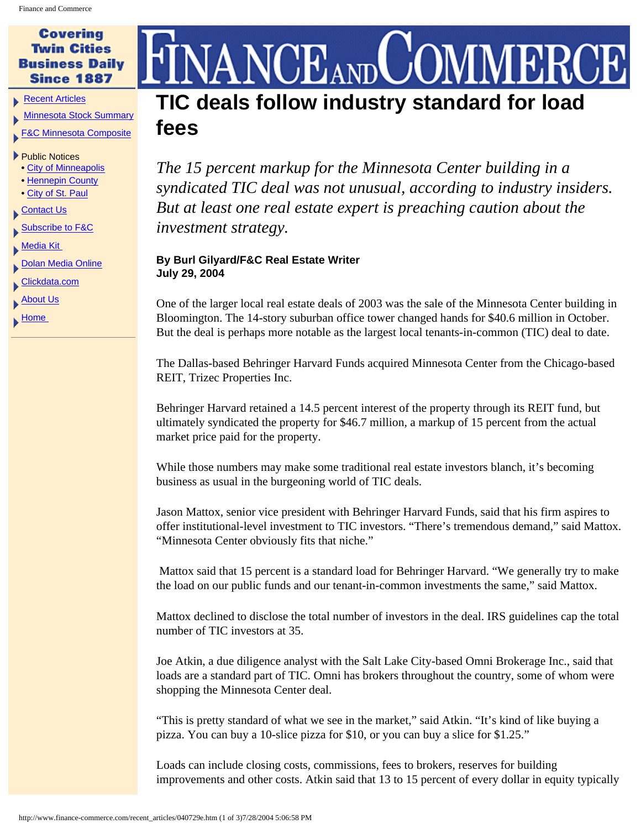## **Covering Twin Cities Business Daily Since 1887**

[Recent Articles](http://www.finance-commerce.com/recent_articles.htm)

[Minnesota Stock Summary](http://studio.financialcontent.com/Engine?Account=finance&PageName=MARKETSUMMARY)

[F&C Minnesota Composite](http://studio.financialcontent.com/Engine?Account=finance&PageName=INDEX&Index=$FCCMP&Mode=SORT)

## ▶ Public Notices

- [City of Minneapolis](http://www.finance-commerce.com/pubnot/mpls_notices.htm)
- [Hennepin County](http://www.co.hennepin.mn.us/vgn/portal/internet/hcchannelmaster/0,2324,1273_81770__2,00.html)
- [City of St. Paul](http://www.ci.stpaul.mn.us/council/minutes)
- [Contact Us](http://www.finance-commerce.com/contact.htm)
- **[Subscribe to F&C](http://www.finance-commerce.com/subscribe.cfm)**

[Media Kit](http://www.finance-commerce.com/media_kit.htm) 

- **[Dolan Media Online](http://www.dolanmedia.com/)**
- [Clickdata.com](http://www.clickdata.com/)
- **[About Us](http://www.finance-commerce.com/aboutus.htm)**
- $\blacktriangleright$  Home

## NCEAND **TIC deals follow industry standard for load fees**

*The 15 percent markup for the Minnesota Center building in a syndicated TIC deal was not unusual, according to industry insiders. But at least one real estate expert is preaching caution about the investment strategy.*

## **By Burl Gilyard/F&C Real Estate Writer July 29, 2004**

One of the larger local real estate deals of 2003 was the sale of the Minnesota Center building in Bloomington. The 14-story suburban office tower changed hands for \$40.6 million in October. But the deal is perhaps more notable as the largest local tenants-in-common (TIC) deal to date.

The Dallas-based Behringer Harvard Funds acquired Minnesota Center from the Chicago-based REIT, Trizec Properties Inc.

Behringer Harvard retained a 14.5 percent interest of the property through its REIT fund, but ultimately syndicated the property for \$46.7 million, a markup of 15 percent from the actual market price paid for the property.

While those numbers may make some traditional real estate investors blanch, it's becoming business as usual in the burgeoning world of TIC deals.

Jason Mattox, senior vice president with Behringer Harvard Funds, said that his firm aspires to offer institutional-level investment to TIC investors. "There's tremendous demand," said Mattox. "Minnesota Center obviously fits that niche."

 Mattox said that 15 percent is a standard load for Behringer Harvard. "We generally try to make the load on our public funds and our tenant-in-common investments the same," said Mattox.

Mattox declined to disclose the total number of investors in the deal. IRS guidelines cap the total number of TIC investors at 35.

Joe Atkin, a due diligence analyst with the Salt Lake City-based Omni Brokerage Inc., said that loads are a standard part of TIC. Omni has brokers throughout the country, some of whom were shopping the Minnesota Center deal.

"This is pretty standard of what we see in the market," said Atkin. "It's kind of like buying a pizza. You can buy a 10-slice pizza for \$10, or you can buy a slice for \$1.25."

Loads can include closing costs, commissions, fees to brokers, reserves for building improvements and other costs. Atkin said that 13 to 15 percent of every dollar in equity typically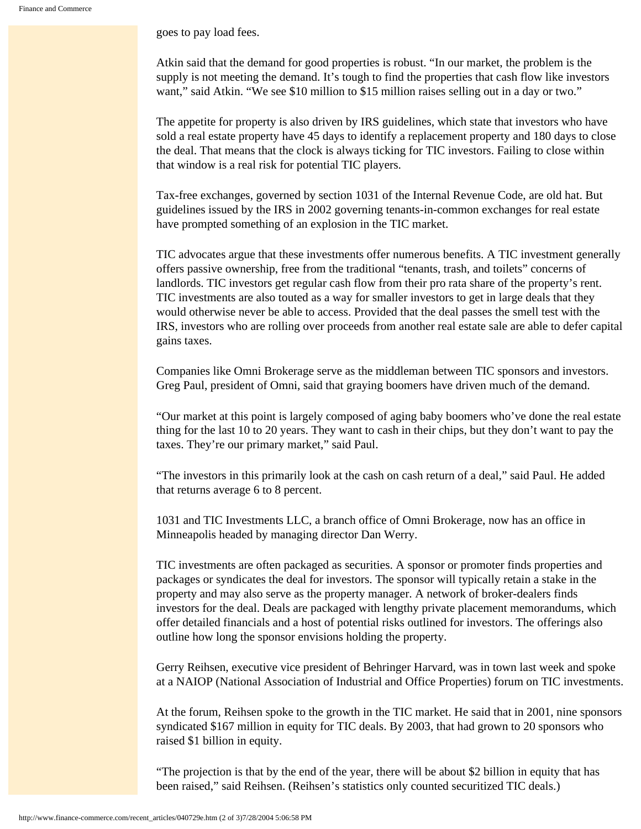goes to pay load fees.

Atkin said that the demand for good properties is robust. "In our market, the problem is the supply is not meeting the demand. It's tough to find the properties that cash flow like investors want," said Atkin. "We see \$10 million to \$15 million raises selling out in a day or two."

The appetite for property is also driven by IRS guidelines, which state that investors who have sold a real estate property have 45 days to identify a replacement property and 180 days to close the deal. That means that the clock is always ticking for TIC investors. Failing to close within that window is a real risk for potential TIC players.

Tax-free exchanges, governed by section 1031 of the Internal Revenue Code, are old hat. But guidelines issued by the IRS in 2002 governing tenants-in-common exchanges for real estate have prompted something of an explosion in the TIC market.

TIC advocates argue that these investments offer numerous benefits. A TIC investment generally offers passive ownership, free from the traditional "tenants, trash, and toilets" concerns of landlords. TIC investors get regular cash flow from their pro rata share of the property's rent. TIC investments are also touted as a way for smaller investors to get in large deals that they would otherwise never be able to access. Provided that the deal passes the smell test with the IRS, investors who are rolling over proceeds from another real estate sale are able to defer capital gains taxes.

Companies like Omni Brokerage serve as the middleman between TIC sponsors and investors. Greg Paul, president of Omni, said that graying boomers have driven much of the demand.

"Our market at this point is largely composed of aging baby boomers who've done the real estate thing for the last 10 to 20 years. They want to cash in their chips, but they don't want to pay the taxes. They're our primary market," said Paul.

"The investors in this primarily look at the cash on cash return of a deal," said Paul. He added that returns average 6 to 8 percent.

1031 and TIC Investments LLC, a branch office of Omni Brokerage, now has an office in Minneapolis headed by managing director Dan Werry.

TIC investments are often packaged as securities. A sponsor or promoter finds properties and packages or syndicates the deal for investors. The sponsor will typically retain a stake in the property and may also serve as the property manager. A network of broker-dealers finds investors for the deal. Deals are packaged with lengthy private placement memorandums, which offer detailed financials and a host of potential risks outlined for investors. The offerings also outline how long the sponsor envisions holding the property.

Gerry Reihsen, executive vice president of Behringer Harvard, was in town last week and spoke at a NAIOP (National Association of Industrial and Office Properties) forum on TIC investments.

At the forum, Reihsen spoke to the growth in the TIC market. He said that in 2001, nine sponsors syndicated \$167 million in equity for TIC deals. By 2003, that had grown to 20 sponsors who raised \$1 billion in equity.

"The projection is that by the end of the year, there will be about \$2 billion in equity that has been raised," said Reihsen. (Reihsen's statistics only counted securitized TIC deals.)